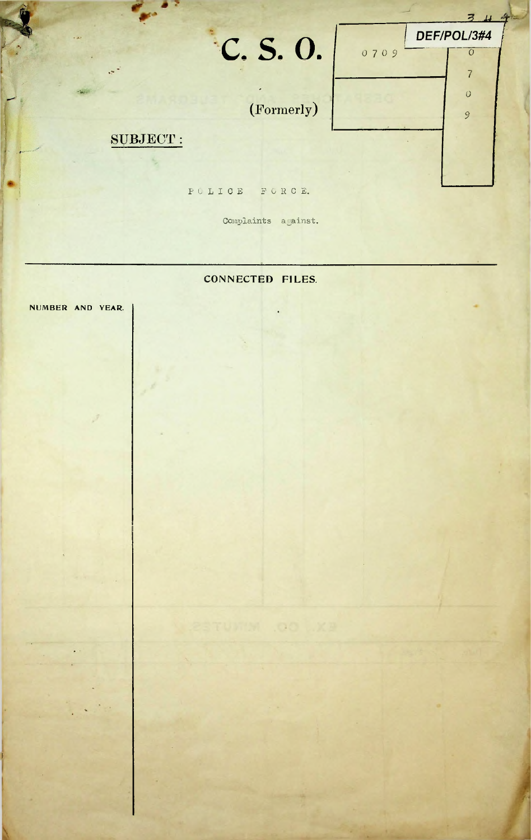

Complaints against.

## CONNECTED FILES.

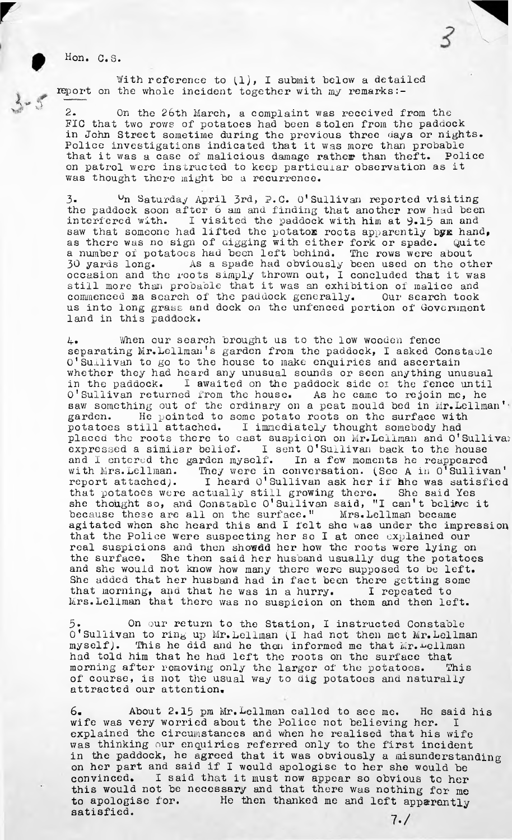Hon. C.S.

 $\mathbb{C}$ 'A -\*#■

With reference to  $(1)$ , I submit below a detailed report on the whole incident together with my remarks:-

2. On the 26th March, a complaint was received from the FIC that two rows of potatoes had been stolen from the paddock in John Street sometime during the previous three days or nights. Police investigations indicated that it was more than probable that it was a case of' malicious damage rather than theft. Police on patrol were instructed to keep particular observation as it was thought there might be a recurrence.

I concluded that it was Quite a number of potatoes had been left behind. The rows were about  $3.$  Un Saturday April 3rd, P.C. O'Sullivan reported visiting the paddock soon after 6 am and finding that another row had been interfered with. I visited the paddock with him at  $9.15$  am and I visited the paddock with him at 9.15 am and saw that someone had lifted the potatox roots apparently byx hand, as there was no sign of digging with either fork or spade, 30 yards long. As a spade had obviously been used on the other occasion and the roots simply thrown out, still more than probable that it was an exhibition of malice and commenced aa search of the paddock generally. Our search took us into long grass and dock on the unfenced portion of Government land in this paddock.

separating Mr. Lellman's garden from the paddock, I asked Constaule that morning, and that he was in a hurry. Mrs.bellman that there was no suspicion on them and then left. 4. When our search brought us to the low wooden fence O'Sullivan to go to the house to make enquiries and ascertain whether they had heard any unusual sounds or seen anything unusual in the paddock. I awaited on the paddock side of the fence until  $0'$  Sullivan returned from the house. As he came to rejoin me, he O'Sullivan returned from the house. saw something out of the ordinary on a peat mould bed in Mr. Lellman'. garden. He pointed to some potato roots on the surface with potatoes still attached. I immediately thought somebody had placed the roots there to cast suspicion on Mr. Lellman and O'Sullivan expressed <sup>a</sup> similar belief. <sup>I</sup> sent O'Sullivan back to the house and I entered the garden myself. In a few moments he reappeared with Mrs.Lellman. They were in conversation. (See A in O<sup>T</sup>Sullivan'<br>report attached). I heard O'Sullivan ask her it hhe was satisfied I heard O'Sullivan ask her if hhe was satisfied that potatoes were actually still growing there. She said Yes she thought so, and Constable O'Sullivan said, "<sup>1</sup> can'<sup>t</sup> believe it because these are all on the surface." Mrs.Lellman became agitated when she heard this and I felt she was under the impression that the Police were suspecting her so I at once explained our real suspicions and then showdd her how the roots were lying on the surface. She then said her husband usually dug the potatoes and she would not know how many there were supposed to be left. She added that her husband had in fact been there getting some I repeated to

myself). had told him that he had left the roots on the surface that morning after removing only the larger of the potatoes. This of course, is not the usual way to dig potatoes and naturally attracted our attention.  $5$ . On our return to the Station, I instructed Constable O'Sullivan to ring up Mr.bellman (I had not then met Mr. bellman This he did and he then informed me that Mr.-bellman

6. About 2.15 pm Mr.bellman called to see me. He said his wife was very worried about the Police not believing her. I explained the circumstances and when he realised that his wife was thinking our enquiries referred only to the first incident in the paddock, he agreed that it was obviously a misunderstanding on her part and said if I would apologise to her she would be convinced. I said that it must now appear so obvious to her this would not be necessary and that there was nothing for me to apologise for. He then thanked me and left apparently satisfied.

 $7. /$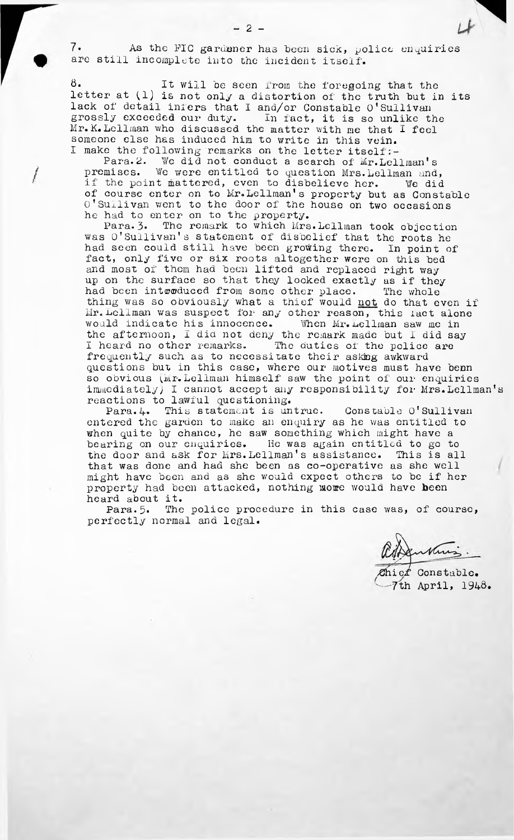As the FIC gardener has been sick, police enquiries still incomplete into the incident itself. 7.

8- It will be seen from the foregoing that the letter at (1) is not only a distortion of the truth but in its lack of detail infers that I and/or Constable O'Sullivan<br>grossly exceeded our duty. In fact, it is so unlike the grossly exceeded our duty. In fact, it is so unlike the Mr. K.LeiIman who discussed the matter with me that I feel someone else has induced him to write in this vein. I make the following remarks on the letter itself

Para. 2. We did not conduct a search of Mr.Lellman's premises. We were entitled to question Mrs.Lellman and, if the point mattered, even to disbelieve her. We did of course enter on to Mr.Leliman's property but as Constable O'Sullivan went to the door of the house on two occasions he had to enter on to the property.

Para. 3. The remark to which Mrs.Lellman took objection was O'Sullivan'<sup>s</sup> statement of disbelief that the roots he had seen could still have been growing there. In point of fact, only five or six roots altogether were on this bed and most of them had been lifted and replaced right way up on the surface so that they looked exactly as if they had been intwoduced from some other place. The whole thing was so obviously what a thief would not do that even if  $Mr.$  Lellman was suspect for any other reason, this fact alone would indicate his innocence. When Mr.LeiIman saw me in the afternoon, I did not deny the remark made but I did say I heard no other remarks. The duties of the police are frequently such as to necessitate their asking awkward questions but in this case, where our motives must have been so obvious (Mr.Lellman himself saw the point of our enquiries  $immediately)$  I cannot accept any responsibility for Mrs. Lellman's reactions to lawful questioning.

Para.4. This statement is untrue. Constable O'Sullivan entered the garden to make an enquiry as he was entitled to when quite by chance, he saw something which might have a bearing on our enquiries. He was again entitled to go to the door and ask for Mrs. Lellman's assistance. This is all that was done and had she been as co-operative as she well might have been and as she would expect others to be if her property had been attacked, nothing more would have been heard about it.

Para.5. The police procedure in this case was, of course, perfectly normal and legal.

adanking.

Chief Constable. th April,  $1948.$ 

/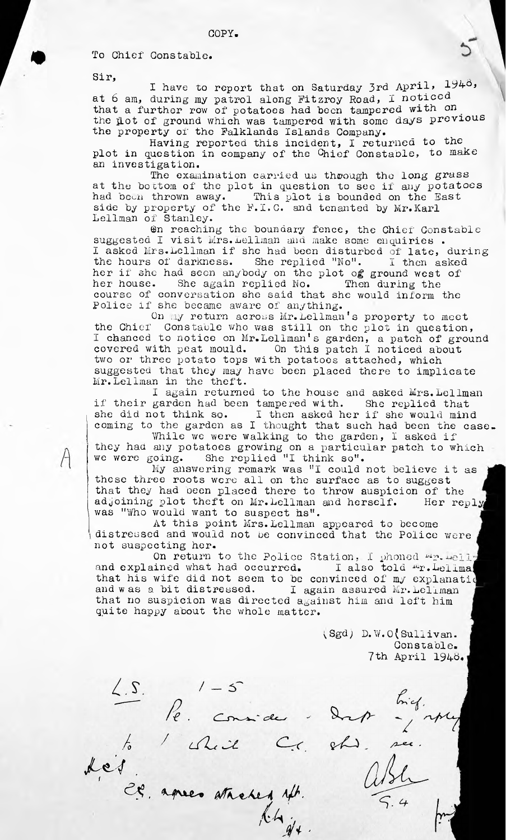To Chief Constable.

Sir,

I have to report that on Saturday 3rd April, 1948, at <sup>6</sup> am, during my patrol along Fitzroy Road, I noticed that a further row of potatoes had been tampered with on the jLot of ground which was tampered with some days previous the property of the Falklands Islands Company.

Having reported this incident, I returned to the plot in question in company of the Chief Constable, to make an investigation.

The examination carried us through the long grass at the bottom of the plot in question to see if any potatoes had been thrown away. This plot is bounded on the East side by property of the F.I.C. and tenanted by Mr.Karl Lellman of Stanley.

 $\Theta$ n reaching the boundary fence, the Chief Constable suggested I visit Mrs. Lellman and make some enquiries . suggested I visit Mrs. Leliman and make some enquiries.<br>I asked Mrs. Lellman if she had been disturbed of late, during the hours of darkness. She replied "No". I then asked her if she had seen anybody on the plot of ground west of her house. She again replied No. Then during the her house. She again replied No. course of conversation she said that she would inform the Police if she became aware of anything.

On my return across Mr.LeiIman's property to meet the Chief Constable who was still on the plot in question, I chanced to notice on Mr. Lellman's garden, a patch of ground covered with peat mould. On this patch I noticed about two or three potato tops with potatoes attached, which suggested that they may have been placed there to implicate Mr.LeiIman in the theft.

I again returned to the house and asked Mrs.Lellman if their garden had been tampered with. She replied that she did not think so. I then asked her if she would mind coming to the garden as I thought that such had been the case.<br>While we were walking to the garden, I asked if

they had any potatoes growing on a particular patch to which we were going. She replied "<sup>1</sup> think so".

oing. She replied "I think so".<br>My answering remark was "I could not believe it as these three roots were all on the surface as to suggest that they had been placed there to throw suspicion of the adjoining plot theft on Mr. Lellman and herself. Her reply was "Who would want to suspect hs".

At this point Mrs.Lellman appeared to become distressed and would not be convinced that the Police were not suspecting her.

On return to the Police Station. I phoned my. Helly and explained what had occurred. I also told "r. Lelima that his wife did not seem to be convinced of my explanation and w as a bit distressed. I again assured Mr. Lellman that no suspicion was directed against him and left him quite happy about the whole matter.

> (Sgd) D. W. O(Sullivan. Constable. 7th April 1946.

<u>L.S.</u>  $\int e^{1-5}$  for this.<br>
Les Considers drop in the first.<br>
Les après atresses aft. Alsh 5.4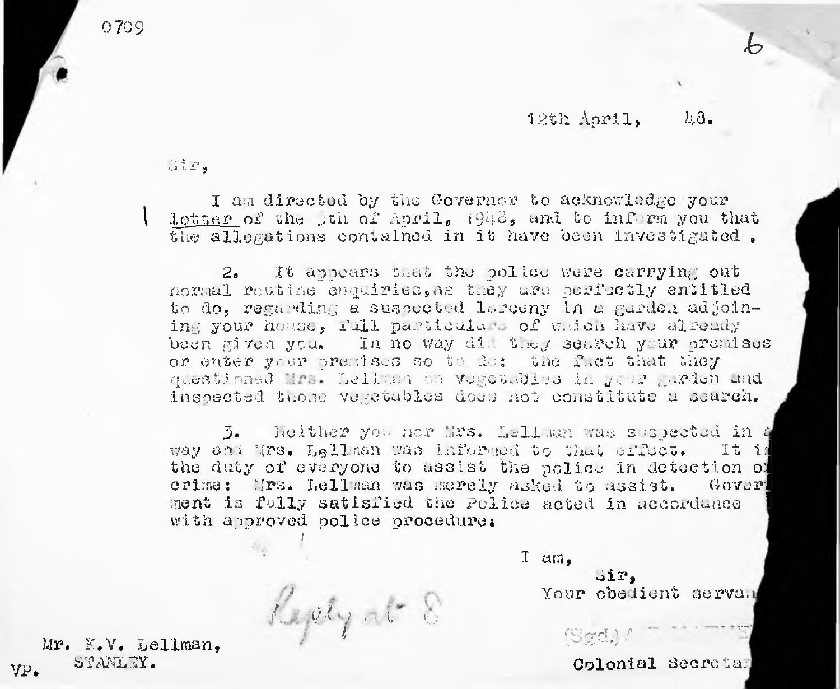3 <sup>i</sup> r,

I

I am directed by the Governor to acknowledge your Iptter of the jth of April, 1943, and to inform you that the allegations contained in it have been investigated.

2. It appears that the police were carrying out normal routine enquiries,as they are perfectly entitled to do, regarding a suspected larceny in a garden adjoining your house, full particulars of which have already been given you. In no way die they search your premises or enter your premises so to do: the f.et that they questioned Hrs. Leliman on vegetables in your garden and inspected those verstables does not constitute a search.

crime: Mrs. Lell man was merely asked to assist. Goverl ment is fully satisfied the Police acted in accordance  $\parallel$ with approved police procedure: 3. Neither you nor Mrs. bellman was suspected in <sup>a</sup> way and Mrs. Lellman was informed to that effect. It is the duty of everyone to assist the police in detection of

I am,

 $\mathscr{A}_\gamma$  at  $\mathscr{E}$  $\mathcal{U}$ 

Mr. K.V. bellman, vp. STANLEY.

Colonial Secretar

Your obedient servan

dir,

 $(Sgd).$ 

<sup>0709</sup> *b*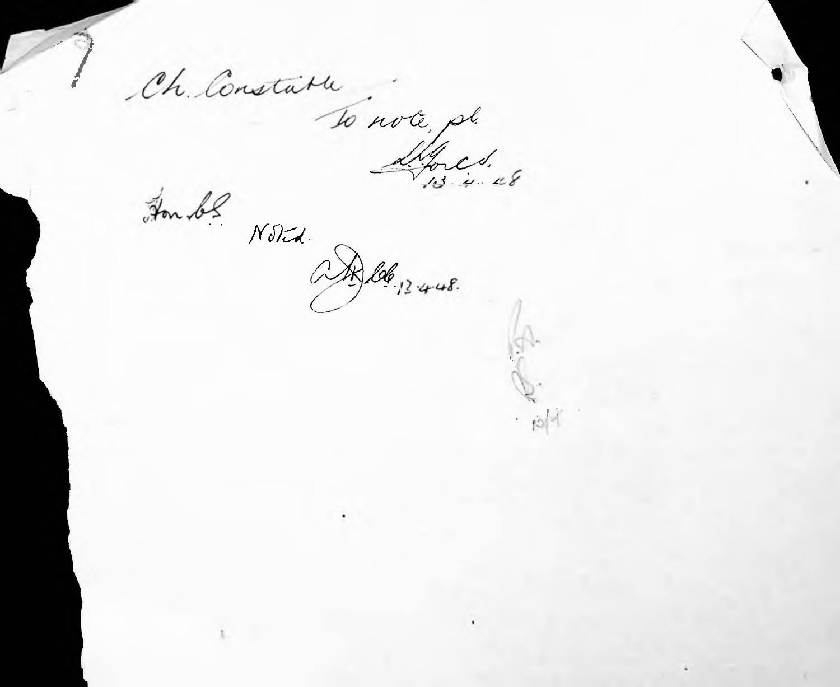Ch Constatu Tonote, pl.

pol<sup>ui</sup>

Hon be Noted.

AD 106, 13-4-48.